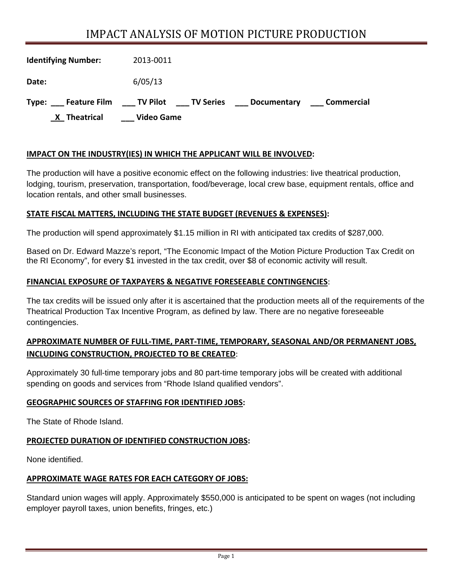# IMPACT ANALYSIS OF MOTION PICTURE PRODUCTION

| <b>Identifying Number:</b>   | 2013-0011                                     |            |
|------------------------------|-----------------------------------------------|------------|
| Date:                        | 6/05/13                                       |            |
| <b>Feature Film</b><br>Type: | ___ TV Pilot<br>____ TV Series<br>Documentary | Commercial |
| X Theatrical                 | <b>Video Game</b>                             |            |

## **IMPACT ON THE INDUSTRY(IES) IN WHICH THE APPLICANT WILL BE INVOLVED:**

The production will have a positive economic effect on the following industries: live theatrical production, lodging, tourism, preservation, transportation, food/beverage, local crew base, equipment rentals, office and location rentals, and other small businesses.

## **STATE FISCAL MATTERS, INCLUDING THE STATE BUDGET (REVENUES & EXPENSES):**

The production will spend approximately \$1.15 million in RI with anticipated tax credits of \$287,000.

Based on Dr. Edward Mazze's report, "The Economic Impact of the Motion Picture Production Tax Credit on the RI Economy", for every \$1 invested in the tax credit, over \$8 of economic activity will result.

#### **FINANCIAL EXPOSURE OF TAXPAYERS & NEGATIVE FORESEEABLE CONTINGENCIES**:

The tax credits will be issued only after it is ascertained that the production meets all of the requirements of the Theatrical Production Tax Incentive Program, as defined by law. There are no negative foreseeable contingencies.

## **APPROXIMATE NUMBER OF FULL‐TIME, PART‐TIME, TEMPORARY, SEASONAL AND/OR PERMANENT JOBS, INCLUDING CONSTRUCTION, PROJECTED TO BE CREATED**:

Approximately 30 full-time temporary jobs and 80 part-time temporary jobs will be created with additional spending on goods and services from "Rhode Island qualified vendors".

#### **GEOGRAPHIC SOURCES OF STAFFING FOR IDENTIFIED JOBS:**

The State of Rhode Island.

#### **PROJECTED DURATION OF IDENTIFIED CONSTRUCTION JOBS:**

None identified.

#### **APPROXIMATE WAGE RATES FOR EACH CATEGORY OF JOBS:**

Standard union wages will apply. Approximately \$550,000 is anticipated to be spent on wages (not including employer payroll taxes, union benefits, fringes, etc.)